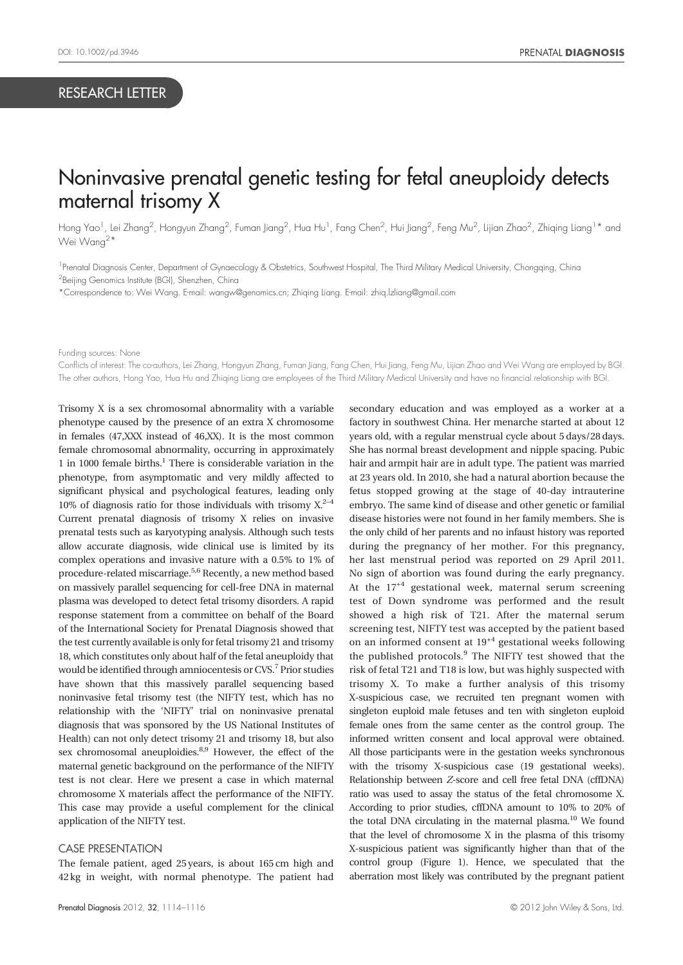# RESEARCH LETTER

# Noninvasive prenatal genetic testing for fetal aneuploidy detects maternal trisomy X

Hong Yao<sup>1</sup>, Lei Zhang<sup>2</sup>, Hongyun Zhang<sup>2</sup>, Fuman Jiang<sup>2</sup>, Hua Hu<sup>1</sup>, Fang Chen<sup>2</sup>, Hui Jiang<sup>2</sup>, Feng Mu<sup>2</sup>, Lijian Zhao<sup>2</sup>, Zhiqing Liang<sup>1</sup>\* and Wei Wang2\*

<sup>1</sup> Prenatal Diagnosis Center, Department of Gynaecology & Obstetrics, Southwest Hospital, The Third Military Medical University, Chongqing, China <sup>2</sup>Beijing Genomics Institute (BGI), Shenzhen, China

\*Correspondence to: Wei Wang. E-mail: wangw@genomics.cn; Zhiqing Liang. E-mail: zhiq.lzliang@gmail.com

Funding sources: None

Conflicts of interest: The co-authors, Lei Zhang, Hongyun Zhang, Fuman Jiang, Fang Chen, Hui Jiang, Feng Mu, Lijian Zhao and Wei Wang are employed by BGI. The other authors, Hong Yao, Hua Hu and Zhiqing Liang are employees of the Third Military Medical University and have no financial relationship with BGI.

Trisomy X is a sex chromosomal abnormality with a variable phenotype caused by the presence of an extra X chromosome in females (47,XXX instead of 46,XX). It is the most common female chromosomal abnormality, occurring in approximately 1 in 1000 female births.<sup>1</sup> There is considerable variation in the phenotype, from asymptomatic and very mildly affected to significant physical and psychological features, leading only 10% of diagnosis ratio for those individuals with trisomy  $X^{2-4}$ Current prenatal diagnosis of trisomy X relies on invasive prenatal tests such as karyotyping analysis. Although such tests allow accurate diagnosis, wide clinical use is limited by its complex operations and invasive nature with a 0.5% to 1% of procedure-related miscarriage.<sup>5,6</sup> Recently, a new method based on massively parallel sequencing for cell-free DNA in maternal plasma was developed to detect fetal trisomy disorders. A rapid response statement from a committee on behalf of the Board of the International Society for Prenatal Diagnosis showed that the test currently available is only for fetal trisomy 21 and trisomy 18, which constitutes only about half of the fetal aneuploidy that would be identified through amniocentesis or CVS.7 Prior studies have shown that this massively parallel sequencing based noninvasive fetal trisomy test (the NIFTY test, which has no relationship with the 'NIFTY' trial on noninvasive prenatal diagnosis that was sponsored by the US National Institutes of Health) can not only detect trisomy 21 and trisomy 18, but also sex chromosomal aneuploidies.<sup>8,9</sup> However, the effect of the maternal genetic background on the performance of the NIFTY test is not clear. Here we present a case in which maternal chromosome X materials affect the performance of the NIFTY. This case may provide a useful complement for the clinical application of the NIFTY test.

## CASE PRESENTATION

The female patient, aged 25 years, is about 165 cm high and 42 kg in weight, with normal phenotype. The patient had years old, with a regular menstrual cycle about 5 days/28 days. She has normal breast development and nipple spacing. Pubic hair and armpit hair are in adult type. The patient was married at 23 years old. In 2010, she had a natural abortion because the fetus stopped growing at the stage of 40-day intrauterine embryo. The same kind of disease and other genetic or familial disease histories were not found in her family members. She is the only child of her parents and no infaust history was reported during the pregnancy of her mother. For this pregnancy, her last menstrual period was reported on 29 April 2011. No sign of abortion was found during the early pregnancy. At the 17+4 gestational week, maternal serum screening test of Down syndrome was performed and the result showed a high risk of T21. After the maternal serum screening test, NIFTY test was accepted by the patient based on an informed consent at 19+4 gestational weeks following the published protocols.<sup>9</sup> The NIFTY test showed that the risk of fetal T21 and T18 is low, but was highly suspected with trisomy X. To make a further analysis of this trisomy X-suspicious case, we recruited ten pregnant women with singleton euploid male fetuses and ten with singleton euploid female ones from the same center as the control group. The informed written consent and local approval were obtained. All those participants were in the gestation weeks synchronous with the trisomy X-suspicious case (19 gestational weeks). Relationship between Z-score and cell free fetal DNA (cffDNA) ratio was used to assay the status of the fetal chromosome X. According to prior studies, cffDNA amount to 10% to 20% of the total DNA circulating in the maternal plasma.<sup>10</sup> We found that the level of chromosome X in the plasma of this trisomy X-suspicious patient was significantly higher than that of the control group (Figure 1). Hence, we speculated that the aberration most likely was contributed by the pregnant patient

secondary education and was employed as a worker at a factory in southwest China. Her menarche started at about 12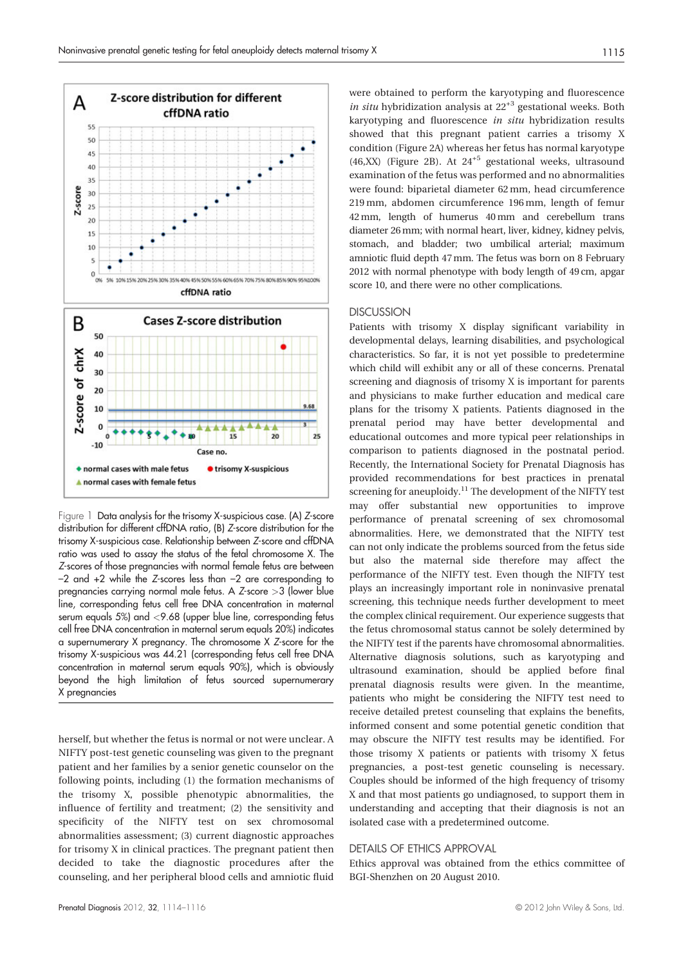

Figure 1 Data analysis for the trisomy X-suspicious case. (A) Z-score distribution for different cffDNA ratio, (B) Z-score distribution for the trisomy X-suspicious case. Relationship between Z-score and cffDNA ratio was used to assay the status of the fetal chromosome X. The Z-scores of those pregnancies with normal female fetus are between  $-2$  and  $+2$  while the Z-scores less than  $-2$  are corresponding to pregnancies carrying normal male fetus. A Z-score >3 (lower blue line, corresponding fetus cell free DNA concentration in maternal serum equals 5%) and <9.68 (upper blue line, corresponding fetus cell free DNA concentration in maternal serum equals 20%) indicates a supernumerary X pregnancy. The chromosome X Z-score for the trisomy X-suspicious was 44.21 (corresponding fetus cell free DNA concentration in maternal serum equals 90%), which is obviously beyond the high limitation of fetus sourced supernumerary X pregnancies

herself, but whether the fetus is normal or not were unclear. A NIFTY post-test genetic counseling was given to the pregnant patient and her families by a senior genetic counselor on the following points, including (1) the formation mechanisms of the trisomy X, possible phenotypic abnormalities, the influence of fertility and treatment; (2) the sensitivity and specificity of the NIFTY test on sex chromosomal abnormalities assessment; (3) current diagnostic approaches for trisomy X in clinical practices. The pregnant patient then decided to take the diagnostic procedures after the counseling, and her peripheral blood cells and amniotic fluid were obtained to perform the karyotyping and fluorescence in situ hybridization analysis at  $22^{+3}$  gestational weeks. Both karyotyping and fluorescence in situ hybridization results showed that this pregnant patient carries a trisomy X condition (Figure 2A) whereas her fetus has normal karyotype (46,XX) (Figure 2B). At 24+5 gestational weeks, ultrasound examination of the fetus was performed and no abnormalities were found: biparietal diameter 62 mm, head circumference 219 mm, abdomen circumference 196 mm, length of femur 42mm, length of humerus 40 mm and cerebellum trans diameter 26mm; with normal heart, liver, kidney, kidney pelvis, stomach, and bladder; two umbilical arterial; maximum amniotic fluid depth 47mm. The fetus was born on 8 February 2012 with normal phenotype with body length of 49 cm, apgar score 10, and there were no other complications.

#### DISCUSSION

Patients with trisomy X display significant variability in developmental delays, learning disabilities, and psychological characteristics. So far, it is not yet possible to predetermine which child will exhibit any or all of these concerns. Prenatal screening and diagnosis of trisomy X is important for parents and physicians to make further education and medical care plans for the trisomy X patients. Patients diagnosed in the prenatal period may have better developmental and educational outcomes and more typical peer relationships in comparison to patients diagnosed in the postnatal period. Recently, the International Society for Prenatal Diagnosis has provided recommendations for best practices in prenatal screening for aneuploidy.<sup>11</sup> The development of the NIFTY test may offer substantial new opportunities to improve performance of prenatal screening of sex chromosomal abnormalities. Here, we demonstrated that the NIFTY test can not only indicate the problems sourced from the fetus side but also the maternal side therefore may affect the performance of the NIFTY test. Even though the NIFTY test plays an increasingly important role in noninvasive prenatal screening, this technique needs further development to meet the complex clinical requirement. Our experience suggests that the fetus chromosomal status cannot be solely determined by the NIFTY test if the parents have chromosomal abnormalities. Alternative diagnosis solutions, such as karyotyping and ultrasound examination, should be applied before final prenatal diagnosis results were given. In the meantime, patients who might be considering the NIFTY test need to receive detailed pretest counseling that explains the benefits, informed consent and some potential genetic condition that may obscure the NIFTY test results may be identified. For those trisomy X patients or patients with trisomy X fetus pregnancies, a post-test genetic counseling is necessary. Couples should be informed of the high frequency of trisomy X and that most patients go undiagnosed, to support them in understanding and accepting that their diagnosis is not an isolated case with a predetermined outcome.

## DETAILS OF ETHICS APPROVAL

Ethics approval was obtained from the ethics committee of BGI-Shenzhen on 20 August 2010.